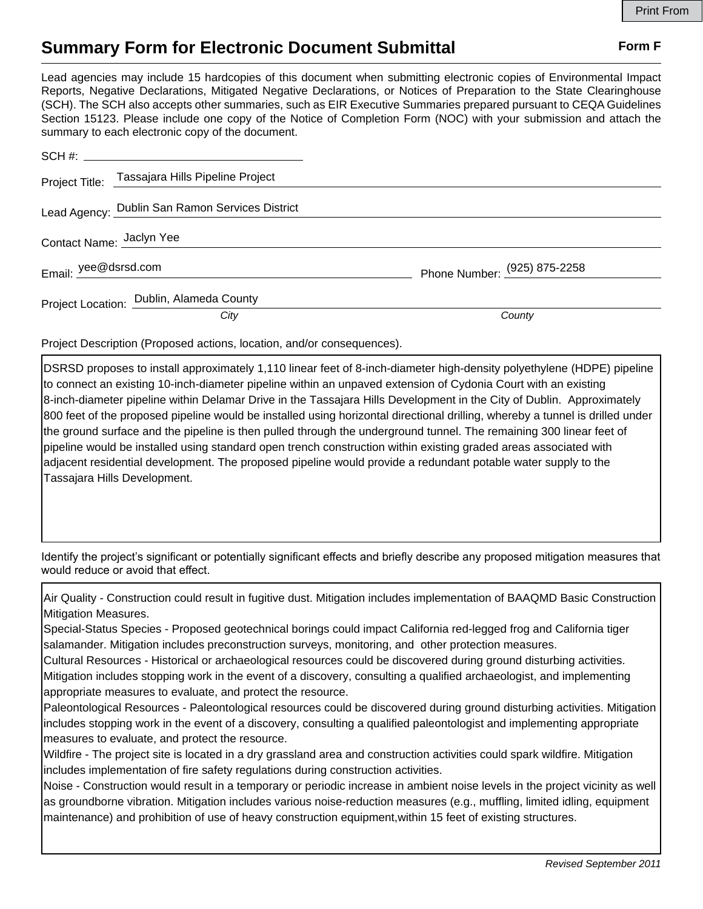## **Summary Form for Electronic Document Submittal Form F Form F**

Lead agencies may include 15 hardcopies of this document when submitting electronic copies of Environmental Impact Reports, Negative Declarations, Mitigated Negative Declarations, or Notices of Preparation to the State Clearinghouse (SCH). The SCH also accepts other summaries, such as EIR Executive Summaries prepared pursuant to CEQA Guidelines Section 15123. Please include one copy of the Notice of Completion Form (NOC) with your submission and attach the summary to each electronic copy of the document.

|                          | Project Title: Tassajara Hills Pipeline Project |                              |
|--------------------------|-------------------------------------------------|------------------------------|
|                          | Lead Agency: Dublin San Ramon Services District |                              |
| Contact Name: Jaclyn Yee |                                                 |                              |
| Email: yee@dsrsd.com     |                                                 | Phone Number: (925) 875-2258 |
|                          | Project Location: Dublin, Alameda County        |                              |
|                          | City                                            | County                       |

Project Description (Proposed actions, location, and/or consequences).

DSRSD proposes to install approximately 1,110 linear feet of 8-inch-diameter high-density polyethylene (HDPE) pipeline to connect an existing 10-inch-diameter pipeline within an unpaved extension of Cydonia Court with an existing 8-inch-diameter pipeline within Delamar Drive in the Tassajara Hills Development in the City of Dublin. Approximately 800 feet of the proposed pipeline would be installed using horizontal directional drilling, whereby a tunnel is drilled under the ground surface and the pipeline is then pulled through the underground tunnel. The remaining 300 linear feet of pipeline would be installed using standard open trench construction within existing graded areas associated with adjacent residential development. The proposed pipeline would provide a redundant potable water supply to the Tassajara Hills Development.

Identify the project's significant or potentially significant effects and briefly describe any proposed mitigation measures that would reduce or avoid that effect.

Air Quality - Construction could result in fugitive dust. Mitigation includes implementation of BAAQMD Basic Construction Mitigation Measures.

Special-Status Species - Proposed geotechnical borings could impact California red-legged frog and California tiger salamander. Mitigation includes preconstruction surveys, monitoring, and other protection measures.

Cultural Resources - Historical or archaeological resources could be discovered during ground disturbing activities. Mitigation includes stopping work in the event of a discovery, consulting a qualified archaeologist, and implementing appropriate measures to evaluate, and protect the resource.

Paleontological Resources - Paleontological resources could be discovered during ground disturbing activities. Mitigation includes stopping work in the event of a discovery, consulting a qualified paleontologist and implementing appropriate measures to evaluate, and protect the resource.

Wildfire - The project site is located in a dry grassland area and construction activities could spark wildfire. Mitigation includes implementation of fire safety regulations during construction activities.

Noise - Construction would result in a temporary or periodic increase in ambient noise levels in the project vicinity as well as groundborne vibration. Mitigation includes various noise-reduction measures (e.g., muffling, limited idling, equipment maintenance) and prohibition of use of heavy construction equipment,within 15 feet of existing structures.